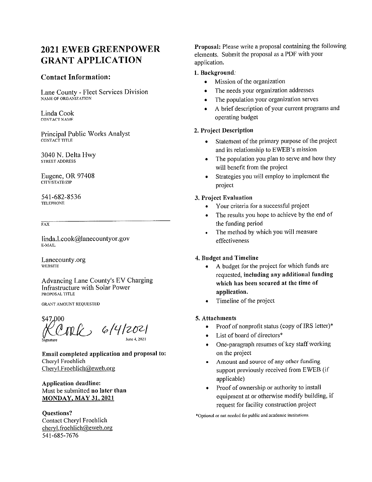## **2021 EWEB GREENPOWER GRANT APPLICATION**

#### **Contact Information:**

Lane County - Fleet Services Division NAME OF ORGANIZATION

Linda Cook CONTACT NAME

Principal Public Works Analyst CONTACT TITLE

3040 N. Delta Hwy STREET ADDRESS

Eugene, OR 97408 CITY/STATE/ZIP

541-682-8536 **TELEPHONE** 

 $\overline{FAX}$ 

linda.l.cook@lanecountyor.gov E-MAIL

Lanecounty.org **WEBSITE** 

Advancing Lane County's EV Charging Infrastructure with Solar Power PROPOSAL TITLE

**GRANT AMOUNT REQUESTED** 

\$47,000 Coach 6/4/2021

Email completed application and proposal to: Cheryl Froehlich Cheryl.Froehlich@eweb.org

**Application deadline:** Must be submitted no later than **MONDAY, MAY 31, 2021** 

**Ouestions?** Contact Cheryl Froehlich cheryl.froehlich@eweb.org 541-685-7676

Proposal: Please write a proposal containing the following elements. Submit the proposal as a PDF with your application.

#### 1. Background.

- Mission of the organization
- The needs your organization addresses
- The population your organization serves  $\bullet$
- A brief description of your current programs and operating budget

#### 2. Project Description

- Statement of the primary purpose of the project and its relationship to EWEB's mission
- The population you plan to serve and how they will benefit from the project
- Strategies you will employ to implement the  $\bullet$ project

#### 3. Project Evaluation

- Your criteria for a successful project  $\bullet$
- The results you hope to achieve by the end of  $\bullet$  . the funding period
- The method by which you will measure  $\bullet$ effectiveness

#### 4. Budget and Timeline

- A budget for the project for which funds are  $\bullet$ requested, including any additional funding which has been secured at the time of application.
- Timeline of the project  $\bullet$

#### 5. Attachments

- Proof of nonprofit status (copy of IRS letter)\*  $\bullet$
- List of board of directors\*
- One-paragraph resumes of key staff working  $\bullet$ on the project
- Amount and source of any other funding  $\bullet$ support previously received from EWEB (if applicable)
- Proof of ownership or authority to install  $\bullet$ equipment at or otherwise modify building, if request for facility construction project

\*Optional or not needed for public and academic institutions.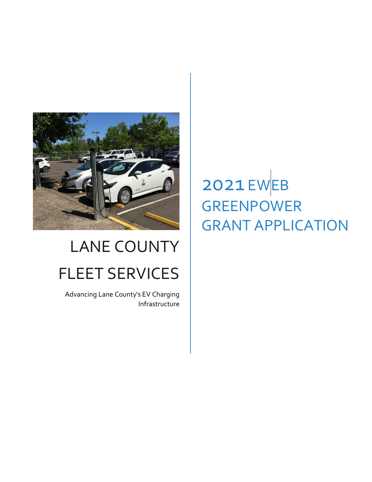

# LANE COUNTY FLEET SERVICES

Advancing Lane County's EV Charging Infrastructure

# 2021 EWEB GREENPOWER GRANT APPLICATION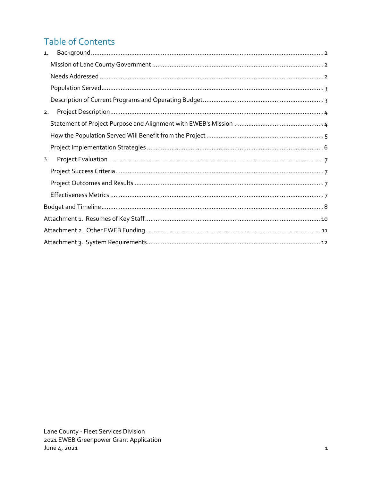# **Table of Contents**

| 1. |  |
|----|--|
|    |  |
|    |  |
|    |  |
|    |  |
| 2. |  |
|    |  |
|    |  |
|    |  |
| 3. |  |
|    |  |
|    |  |
|    |  |
|    |  |
|    |  |
|    |  |
|    |  |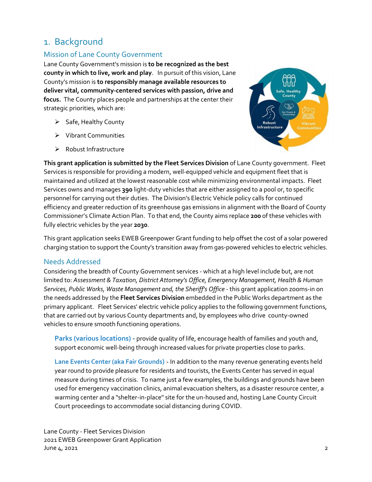## <span id="page-3-0"></span>1. Background

## <span id="page-3-1"></span>Mission of Lane County Government

Lane County Government's mission is **to be recognized as the best county in which to live, work and play**. In pursuit of this vision, Lane County's mission is **to responsibly manage available resources to deliver vital, community-centered services with passion, drive and focus.** The County places people and partnerships at the center their strategic priorities, which are:

- $\triangleright$  Safe, Healthy County
- Vibrant Communities
- $\triangleright$  Robust Infrastructure



**This grant application is submitted by the Fleet Services Division** of Lane County government. Fleet Services is responsible for providing a modern, well-equipped vehicle and equipment fleet that is maintained and utilized at the lowest reasonable cost while minimizing environmental impacts. Fleet Services owns and manages **390** light-duty vehicles that are either assigned to a pool or, to specific personnel for carrying out their duties. The Division's Electric Vehicle policy calls for continued efficiency and greater reduction of its greenhouse gas emissions in alignment with the Board of County Commissioner's Climate Action Plan. To that end, the County aims replace **200** of these vehicles with fully electric vehicles by the year **2030**.

This grant application seeks EWEB Greenpower Grant funding to help offset the cost of a solar powered charging station to support the County's transition away from gas-powered vehicles to electric vehicles.

#### <span id="page-3-2"></span>Needs Addressed

Considering the breadth of County Government services - which at a high level include but, are not limited to: *Assessment & Taxation, District Attorney's Office, Emergency Management, Health & Human Services, Public Works, Waste Management and, the Sheriff's Office* - this grant application zooms-in on the needs addressed by the **Fleet Services Division** embedded in the Public Works department as the primary applicant. Fleet Services' electric vehicle policy applies to the following government functions, that are carried out by various County departments and, by employees who drive county-owned vehicles to ensure smooth functioning operations.

**Parks (various locations) -** provide quality of life, encourage health of families and youth and, support economic well-being through increased values for private properties close to parks.

**Lane Events Center (aka Fair Grounds)** - In addition to the many revenue generating events held year round to provide pleasure for residents and tourists, the Events Center has served in equal measure during times of crisis. To name just a few examples, the buildings and grounds have been used for emergency vaccination clinics, animal evacuation shelters, as a disaster resource center, a warming center and a "shelter-in-place" site for the un-housed and, hosting Lane County Circuit Court proceedings to accommodate social distancing during COVID.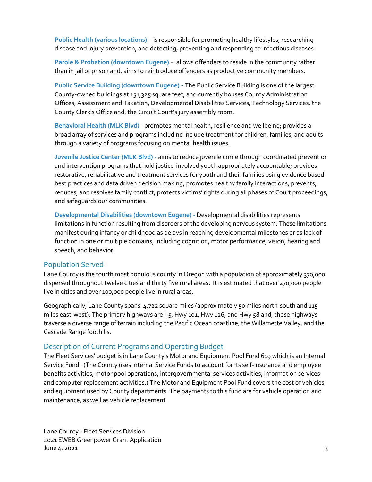**Public Health (various locations)** - is responsible for promoting healthy lifestyles, researching disease and injury prevention, and detecting, preventing and responding to infectious diseases.

**Parole & Probation (downtown Eugene)** - allows offenders to reside in the community rather than in jail or prison and, aims to reintroduce offenders as productive community members.

**Public Service Building (downtown Eugene)** - The Public Service Building is one of the largest County-owned buildings at 151,325 square feet, and currently houses County Administration Offices, Assessment and Taxation, Developmental Disabilities Services, Technology Services, the County Clerk's Office and, the Circuit Court's jury assembly room.

**Behavioral Health (MLK Blvd)** - promotes mental health, resilience and wellbeing; provides a broad array of services and programs including include treatment for children, families, and adults through a variety of programs focusing on mental health issues.

**Juvenile Justice Center (MLK Blvd) -** aims to reduce juvenile crime through coordinated prevention and intervention programs that hold justice-involved youth appropriately accountable; provides restorative, rehabilitative and treatment services for youth and their families using evidence based best practices and data driven decision making; promotes healthy family interactions; prevents, reduces, and resolves family conflict; protects victims' rights during all phases of Court proceedings; and safeguards our communities.

**Developmental Disabilities (downtown Eugene) -** Developmental disabilities represents limitations in function resulting from disorders of the developing nervous system. These limitations manifest during infancy or childhood as delays in reaching developmental milestones or as lack of function in one or multiple domains, including cognition, motor performance, vision, hearing and speech, and behavior.

#### <span id="page-4-0"></span>Population Served

Lane County is the fourth most populous county in Oregon with a population of approximately 370,000 dispersed throughout twelve cities and thirty five rural areas. It is estimated that over 270,000 people live in cities and over 100,000 people live in rural areas.

Geographically, Lane County spans 4,722 square miles (approximately 50 miles north-south and 115 miles east-west). The primary highways are I-5, Hwy 101, Hwy 126, and Hwy 58 and, those highways traverse a diverse range of terrain including the Pacific Ocean coastline, the Willamette Valley, and the Cascade Range foothills.

## <span id="page-4-1"></span>Description of Current Programs and Operating Budget

The Fleet Services' budget is in Lane County's Motor and Equipment Pool Fund 619 which is an Internal Service Fund. (The County uses Internal Service Funds to account for its self-insurance and employee benefits activities, motor pool operations, intergovernmental services activities, information services and computer replacement activities.) The Motor and Equipment Pool Fund covers the cost of vehicles and equipment used by County departments. The payments to this fund are for vehicle operation and maintenance, as well as vehicle replacement.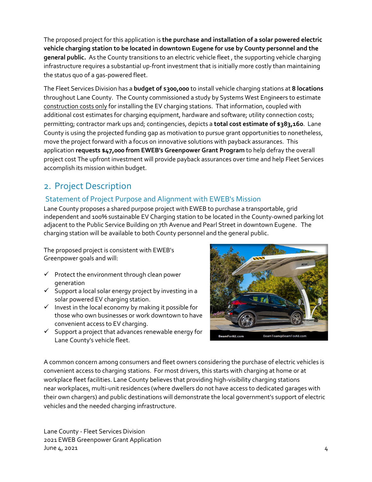The proposed project for this application is **the purchase and installation of a solar powered electric vehicle charging station to be located in downtown Eugene for use by County personnel and the general public.** As the County transitions to an electric vehicle fleet , the supporting vehicle charging infrastructure requires a substantial up-front investment that is initially more costly than maintaining the status quo of a gas-powered fleet.

The Fleet Services Division has a **budget of** \$**300,000** to install vehicle charging stations at **8 locations** throughout Lane County. The County commissioned a study by Systems West Engineers to estimate construction costs only for installing the EV charging stations. That information, coupled with additional cost estimates for charging equipment, hardware and software; utility connection costs; permitting; contractor mark ups and; contingencies, depicts a **total cost estimate of \$383,160**. Lane County is using the projected funding gap as motivation to pursue grant opportunities to nonetheless, move the project forward with a focus on innovative solutions with payback assurances. This application **requests \$47,000 from EWEB's Greenpower Grant Program** to help defray the overall project cost The upfront investment will provide payback assurances over time and help Fleet Services accomplish its mission within budget.

## <span id="page-5-0"></span>2. Project Description

### <span id="page-5-1"></span>Statement of Project Purpose and Alignment with EWEB's Mission

Lane County proposes a shared purpose project with EWEB to purchase a transportable, grid independent and 100% sustainable EV Charging station to be located in the County-owned parking lot adjacent to the Public Service Building on 7th Avenue and Pearl Street in downtown Eugene. The charging station will be available to both County personnel and the general public.

The proposed project is consistent with EWEB's Greenpower goals and will:

- $\checkmark$  Protect the environment through clean power generation
- $\checkmark$  Support a local solar energy project by investing in a solar powered EV charging station.
- $\checkmark$  Invest in the local economy by making it possible for those who own businesses or work downtown to have convenient access to EV charging.
- $\checkmark$  Support a project that advances renewable energy for Lane County's vehicle fleet.



A common concern among consumers and fleet owners considering the purchase of electric vehicles is convenient access to charging stations. For most drivers, this starts with [charging at home](https://afdc.energy.gov/fuels/electricity_charging_home.html) or at workplace fleet facilities. Lane County believes that providing high-visibility charging stations near [workplaces,](https://afdc.energy.gov/fuels/electricity_charging_workplace.html) multi-unit residences (where dwellers do not have access to dedicated garages with their own chargers) and [public destinations](https://afdc.energy.gov/fuels/electricity_charging_public.html) will demonstrate the local government's support of electric vehicles and the needed charging infrastructure.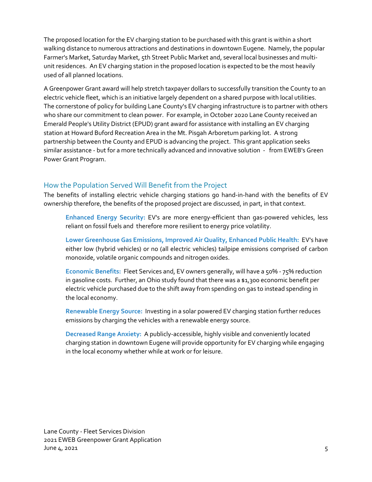The proposed location for the EV charging station to be purchased with this grant is within a short walking distance to numerous attractions and destinations in downtown Eugene. Namely, the popular Farmer's Market, Saturday Market, 5th Street Public Market and, several local businesses and multiunit residences. An EV charging station in the proposed location is expected to be the most heavily used of all planned locations.

A Greenpower Grant award will help stretch taxpayer dollars to successfully transition the County to an electric vehicle fleet, which is an initiative largely dependent on a shared purpose with local utilities. The cornerstone of policy for building Lane County's EV charging infrastructure is to partner with others who share our commitment to clean power. For example, in October 2020 Lane County received an Emerald People's Utility District (EPUD) grant award for assistance with installing an EV charging station at Howard Buford Recreation Area in the Mt. Pisgah Arboretum parking lot. A strong partnership between the County and EPUD is advancing the project. This grant application seeks similar assistance - but for a more technically advanced and innovative solution - from EWEB's Green Power Grant Program.

### <span id="page-6-0"></span>How the Population Served Will Benefit from the Project

The benefits of installing electric vehicle charging stations go hand-in-hand with the benefits of EV ownership therefore, the benefits of the proposed project are discussed, in part, in that context.

**Enhanced Energy Security:** EV's are more energy-efficient than gas-powered vehicles, less reliant on fossil fuels and therefore more resilient to energy price volatility.

**Lower Greenhouse Gas Emissions, Improved Air Quality, Enhanced Public Health:** EV's have either low (hybrid vehicles) or no (all electric vehicles) tailpipe emissions comprised of carbon monoxide, volatile organic compounds and nitrogen oxides.

Economic Benefits: Fleet Services and, EV owners generally, will have a 50% - 75% reduction in gasoline costs. Further, an Ohio study found that there was a \$1,300 economic benefit per electric vehicle purchased due to the shift away from spending on gas to instead spending in the local economy.

**Renewable Energy Source:** Investing in a solar powered EV charging station further reduces emissions by charging the vehicles with a renewable energy source.

**Decreased Range Anxiety:** A publicly-accessible, highly visible and conveniently located charging station in downtown Eugene will provide opportunity for EV charging while engaging in the local economy whether while at work or for leisure.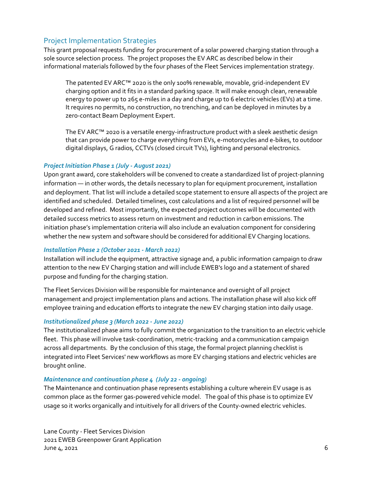#### <span id="page-7-0"></span>Project Implementation Strategies

This grant proposal requests funding for procurement of a solar powered charging station through a sole source selection process. The project proposes the EV ARC as described below in their informational materials followed by the four phases of the Fleet Services implementation strategy.

The patented EV ARC™ 2020 is the only 100% renewable, movable, grid-independent EV charging option and it fits in a standard parking space. It will make enough clean, renewable energy to power up to 265 e-miles in a day and charge up to 6 electric vehicles (EVs) at a time. It requires no permits, no construction, no trenching, and can be deployed in minutes by a zero-contact Beam Deployment Expert.

The EV ARC™ 2020 is a versatile energy-infrastructure product with a sleek aesthetic design that can provide power to charge everything from EVs, e-motorcycles and e-bikes, to outdoor digital displays, G radios, CCTVs (closed circuit TVs), lighting and personal electronics.

#### *Project Initiation Phase 1 (July - August 2021)*

Upon grant award, core stakeholders will be convened to create a standardized list of project-planning information — in other words, the details necessary to plan for equipment procurement, installation and deployment. That list will include a detailed scope statement to ensure all aspects of the project are identified and scheduled. Detailed timelines, cost calculations and a list of required personnel will be developed and refined. Most importantly, the expected project outcomes will be documented with detailed success metrics to assess return on investment and reduction in carbon emissions. The initiation phase's implementation criteria will also include an evaluation component for considering whether the new system and software should be considered for additional EV Charging locations.

#### *Installation Phase 2 (October 2021 - March 2022)*

Installation will include the equipment, attractive signage and, a public information campaign to draw attention to the new EV Charging station and will include EWEB's logo and a statement of shared purpose and funding for the charging station.

The Fleet Services Division will be responsible for maintenance and oversight of all project management and project implementation plans and actions. The installation phase will also kick off employee training and education efforts to integrate the new EV charging station into daily usage.

#### *Institutionalized phase 3 (March 2022 - June 2022)*

The institutionalized phase aims to fully commit the organization to the transition to an electric vehicle fleet. This phase will involve task-coordination, metric-tracking and a communication campaign across all departments. By the conclusion of this stage, the formal project planning checklist is integrated into Fleet Services' new workflows as more EV charging stations and electric vehicles are brought online.

#### *Maintenance and continuation phase 4 (July 22 - ongoing)*

The Maintenance and continuation phase represents establishing a culture wherein EV usage is as common place as the former gas-powered vehicle model. The goal of this phase is to optimize EV usage so it works organically and intuitively for all drivers of the County-owned electric vehicles.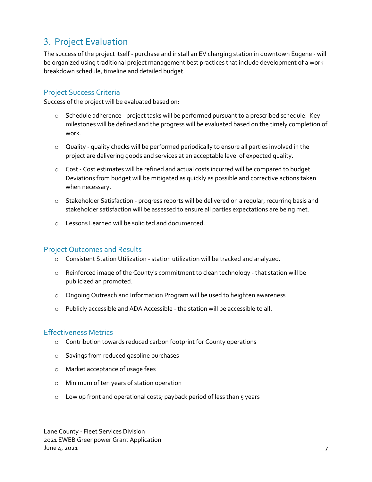## <span id="page-8-0"></span>3. Project Evaluation

The success of the project itself - purchase and install an EV charging station in downtown Eugene - will be organized using traditional project management best practices that include development of a work breakdown schedule, timeline and detailed budget.

#### <span id="page-8-1"></span>Project Success Criteria

Success of the project will be evaluated based on:

- o Schedule adherence project tasks will be performed pursuant to a prescribed schedule. Key milestones will be defined and the progress will be evaluated based on the timely completion of work.
- o Quality quality checks will be performed periodically to ensure all parties involved in the project are delivering goods and services at an acceptable level of expected quality.
- o Cost Cost estimates will be refined and actual costs incurred will be compared to budget. Deviations from budget will be mitigated as quickly as possible and corrective actions taken when necessary.
- o Stakeholder Satisfaction progress reports will be delivered on a regular, recurring basis and stakeholder satisfaction will be assessed to ensure all parties expectations are being met.
- o Lessons Learned will be solicited and documented.

#### <span id="page-8-2"></span>Project Outcomes and Results

- o Consistent Station Utilization station utilization will be tracked and analyzed.
- o Reinforced image of the County's commitment to clean technology that station will be publicized an promoted.
- o Ongoing Outreach and Information Program will be used to heighten awareness
- o Publicly accessible and ADA Accessible the station will be accessible to all.

#### <span id="page-8-3"></span>Effectiveness Metrics

- o Contribution towards reduced carbon footprint for County operations
- o Savings from reduced gasoline purchases
- o Market acceptance of usage fees
- o Minimum of ten years of station operation
- o Low up front and operational costs; payback period of less than 5 years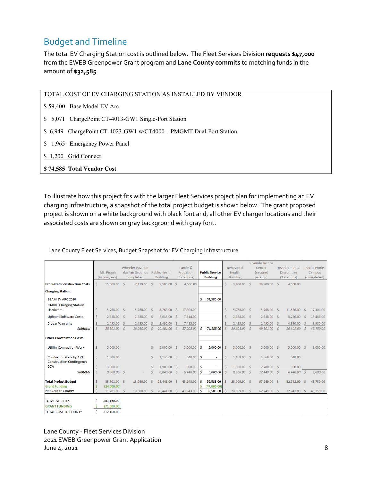## <span id="page-9-0"></span>Budget and Timeline

The total EV Charging Station cost is outlined below. The Fleet Services Division **requests \$47,000** from the EWEB Greenpower Grant program and **Lane County commits** to matching funds in the amount of **\$32,585**.

TOTAL COST OF EV CHARGING STATION AS INSTALLED BY VENDOR

- \$ 59,400 Base Model EV Arc
- \$ 5,071 ChargePoint CT-4013-GW1 Single-Port Station
- \$ 6,949 ChargePoint CT-4023-GW1 w/CT4000 PMGMT Dual-Port Station
- \$ 1,965 Emergency Power Panel
- \$1,200 Grid Connect
- **\$ 74,585 Total Vendor Cost**

To illustrate how this project fits with the larger Fleet Services project plan for implementing an EV charging infrastructure, a snapshot of the total project budget is shown below. The grant proposed project is shown on a white background with black font and, all other EV charger locations and their associated costs are shown on gray background with gray font.

|                                                                  |    | Mt. Pisgah<br>(in progress) |    | <b>Wheeler Pavilion</b><br>aka Fair Grounds Public Health<br>(completed) |     | <b>Building</b> |               | Parole &<br>Probation<br>(3 stations) |    | <b>Public Service</b><br><b>Building</b> |                    | Behavioral<br>Health<br><b>Building</b> |     | Juvenile Justice<br>Center<br>(secured<br>parking) |     | Developmental<br><b>Disabilities</b><br>(2 stations) |      | <b>Public Works</b><br>Campus<br>(completed) |
|------------------------------------------------------------------|----|-----------------------------|----|--------------------------------------------------------------------------|-----|-----------------|---------------|---------------------------------------|----|------------------------------------------|--------------------|-----------------------------------------|-----|----------------------------------------------------|-----|------------------------------------------------------|------|----------------------------------------------|
| <b>Estimated Construction Costs</b>                              | Š. | 15,000.00                   | -Ś | 7,179.00                                                                 | Ŝ.  | 9,500.00 \$     |               | 4,500.00                              |    |                                          | Ŝ.                 | $9,900.00$ \$                           |     | 38,900.00 \$                                       |     | 4,500.00                                             |      |                                              |
| <b>Charging Station</b>                                          |    |                             |    |                                                                          |     |                 |               |                                       |    |                                          |                    |                                         |     |                                                    |     |                                                      |      |                                              |
| <b>BEAM EV ARC 2020</b><br><b>CT4000 Charging Station</b>        |    |                             |    |                                                                          |     |                 |               |                                       | Ś  | 74,585.00                                |                    |                                         |     |                                                    |     |                                                      |      |                                              |
| Hardware                                                         | \$ | 5,768.00                    | -Ŝ | 5,768.00                                                                 | - Ś | 5,768.00        | -S            | 17,304.00                             |    |                                          | \$                 | 5,768.00 \$                             |     | $5,768.00$ \$                                      |     | 11,536.00                                            | - S  | 17,304.00                                    |
| <b>Upfront Software Costs</b>                                    | Ś. | 2.638.00                    | S  | 2.638.00                                                                 | - S | 2.638.00        | -Ś.           | 7.914.00                              |    |                                          | -S                 | $2.638.00$ \$                           |     | $2.638.00$ \$                                      |     | 5.276.00                                             | -Ś   | 18,466.00                                    |
| 5-year Warranty                                                  | Ś  | 2,495.00                    | Ŝ  | 2,495.00                                                                 | Ŝ   | 2,495.00        | Ŝ             | 7,485.00                              |    |                                          |                    | 2,495.00                                | - S | 2,495.00                                           | -Ŝ  | 4,990.00                                             | -Ŝ   | 9,980.00                                     |
| <b>Subtotal</b>                                                  | Š. | 25,901.00                   | S. | 18,080.00                                                                | -S  | 20,401.00       | $\mathcal{S}$ | 37,203.00                             | Ŝ  | 74,585.00                                |                    | 20,801.00 \$                            |     | 49,801.00 \$                                       |     | 26,302.00                                            | -S   | 45,750.00                                    |
| <b>Other Construction Costs</b>                                  |    |                             |    |                                                                          |     |                 |               |                                       |    |                                          |                    |                                         |     |                                                    |     |                                                      |      |                                              |
| <b>Utility Connection Work</b>                                   | \$ | 5,000.00                    |    |                                                                          | \$  | 5,000.00        | - S           | 5,000.00                              | Ŝ  | 5,000.00                                 | Ŝ.                 | $5,000.00$ \$                           |     | $5,000.00$ \$                                      |     | 5,000.00                                             | - \$ | 3,000.00                                     |
| <b>Contractor Mark Up 12%</b><br><b>Construction Contingency</b> | Ś. | 1,800.00                    |    |                                                                          | Ś.  | $1,140.00$ \$   |               | 540.00                                | Ŝ  | $\sim$                                   | $\dot{\mathsf{S}}$ | 1,188.00 \$                             |     | $4,668.00$ \$                                      |     | 540.00                                               |      |                                              |
| 20%                                                              | Ś  | 3.000.00                    |    |                                                                          | Ś   | 1.900.00        | Ŝ.            | 900.00                                | -Ś |                                          |                    | 1.980.00                                | - Ś | 7.780.00                                           | -Ś. | 900.00                                               |      |                                              |
| <b>Subtotal</b>                                                  | Š. | 9,800.00                    | Ś  |                                                                          | Ś   | 8,040.00        | S.            | 6,440.00                              | Ŝ  | 5,000.00                                 | Š.                 | 8,168.00                                | - Ś | 17,448.00 \$                                       |     | $6,440.00$ \$                                        |      | 3,000.00                                     |
| <b>Total Project Budget</b>                                      |    | 35,701.00 \$                |    | 18,080.00                                                                | Ś   | 28.441.00       | Ŝ             | 43,643.00                             | Ŝ  | 79,585.00                                | Š.                 | 28,969.00 \$                            |     | 67,249.00 \$                                       |     | 32,742.00                                            | -Ś   | 48,750.00                                    |
| <b>Grant Funding</b>                                             |    | (24,000.00)                 |    |                                                                          |     |                 |               |                                       | Ś  | (47,000.00)                              |                    |                                         |     |                                                    |     |                                                      |      |                                              |
| Net Cost to County                                               |    | 11,701.00 \$                |    | 18,080,00                                                                | Ŝ.  | 28,441.00       | -S            | 43,643.00                             | Ŝ  | 32,585.00                                |                    | 28,969.00 \$                            |     | 67,249.00                                          | -S  | 32,742.00                                            | -Ŝ   | 48,750.00                                    |
| <b>TOTAL ALL SITES</b>                                           |    | 383,160.00                  |    |                                                                          |     |                 |               |                                       |    |                                          |                    |                                         |     |                                                    |     |                                                      |      |                                              |
| <b>GRANT FUNDING</b>                                             |    | (71,000.00)                 |    |                                                                          |     |                 |               |                                       |    |                                          |                    |                                         |     |                                                    |     |                                                      |      |                                              |
| <b>TOTAL COST TO COUNTY</b>                                      | Š. | 312,160.00                  |    |                                                                          |     |                 |               |                                       |    |                                          |                    |                                         |     |                                                    |     |                                                      |      |                                              |

#### Lane County Fleet Services, Budget Snapshot for EV Charging Infrastructure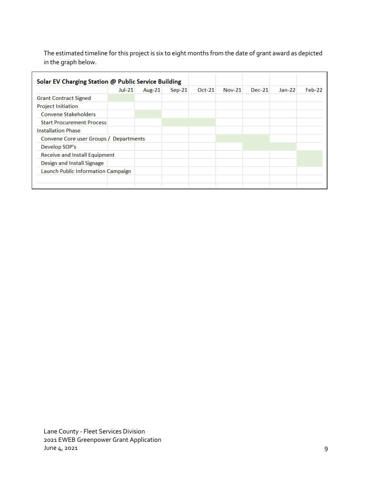The estimated timeline for this project is six to eight months from the date of grant award as depicted in the graph below.

|                                        | $Jul-21$ | Aug-21 | $Sep-21$ | $Oct-21$ | <b>Nov-21</b> | $Dec-21$ | $Jan-22$ | Feb-22 |
|----------------------------------------|----------|--------|----------|----------|---------------|----------|----------|--------|
| <b>Grant Contract Signed</b>           |          |        |          |          |               |          |          |        |
| <b>Project Initiation</b>              |          |        |          |          |               |          |          |        |
| <b>Convene Stakeholders</b>            |          |        |          |          |               |          |          |        |
| <b>Start Procurement Process</b>       |          |        |          |          |               |          |          |        |
| <b>Installation Phase</b>              |          |        |          |          |               |          |          |        |
| Convene Core user Groups / Departments |          |        |          |          |               |          |          |        |
| Develop SOP's                          |          |        |          |          |               |          |          |        |
| <b>Receive and Install Equipment</b>   |          |        |          |          |               |          |          |        |
| Design and Install Signage             |          |        |          |          |               |          |          |        |
| Launch Public Information Campaign     |          |        |          |          |               |          |          |        |
|                                        |          |        |          |          |               |          |          |        |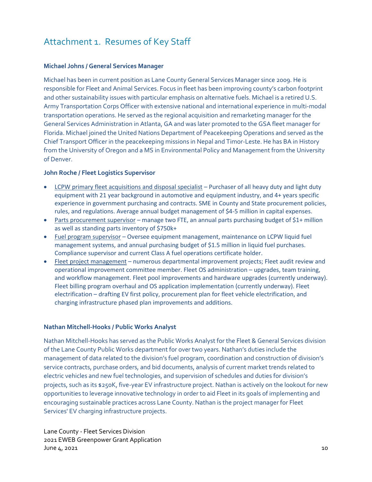## <span id="page-11-0"></span>Attachment 1. Resumes of Key Staff

#### **Michael Johns / General Services Manager**

Michael has been in current position as Lane County General Services Manager since 2009. He is responsible for Fleet and Animal Services. Focus in fleet has been improving county's carbon footprint and other sustainability issues with particular emphasis on alternative fuels. Michael is a retired U.S. Army Transportation Corps Officer with extensive national and international experience in multi-modal transportation operations. He served as the regional acquisition and remarketing manager for the General Services Administration in Atlanta, GA and was later promoted to the GSA fleet manager for Florida. Michael joined the United Nations Department of Peacekeeping Operations and served as the Chief Transport Officer in the peacekeeping missions in Nepal and Timor-Leste. He has BA in History from the University of Oregon and a MS in Environmental Policy and Management from the University of Denver.

#### **John Roche / Fleet Logistics Supervisor**

- LCPW primary fleet acquisitions and disposal specialist Purchaser of all heavy duty and light duty equipment with 21 year background in automotive and equipment industry, and 4+ years specific experience in government purchasing and contracts. SME in County and State procurement policies, rules, and regulations. Average annual budget management of \$4-5 million in capital expenses.
- Parts procurement supervisor manage two FTE, an annual parts purchasing budget of  $$1+$  million as well as standing parts inventory of \$750k+
- Fuel program supervisor Oversee equipment management, maintenance on LCPW liquid fuel management systems, and annual purchasing budget of \$1.5 million in liquid fuel purchases. Compliance supervisor and current Class A fuel operations certificate holder.
- Fleet project management numerous departmental improvement projects; Fleet audit review and operational improvement committee member. Fleet OS administration – upgrades, team training, and workflow management. Fleet pool improvements and hardware upgrades (currently underway). Fleet billing program overhaul and OS application implementation (currently underway). Fleet electrification – drafting EV first policy, procurement plan for fleet vehicle electrification, and charging infrastructure phased plan improvements and additions.

#### **Nathan Mitchell-Hooks / Public Works Analyst**

Nathan Mitchell-Hooks has served as the Public Works Analyst for the Fleet & General Services division of the Lane County Public Works department for over two years. Nathan's duties include the management of data related to the division's fuel program, coordination and construction of division's service contracts, purchase orders, and bid documents, analysis of current market trends related to electric vehicles and new fuel technologies, and supervision of schedules and duties for division's projects, such as its \$250K, five-year EV infrastructure project. Nathan is actively on the lookout for new opportunities to leverage innovative technology in order to aid Fleet in its goals of implementing and encouraging sustainable practices across Lane County. Nathan is the project manager for Fleet Services' EV charging infrastructure projects.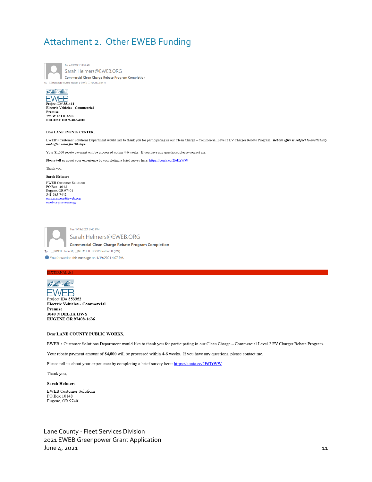## <span id="page-12-0"></span>Attachment 2. Other EWEB Funding

Tue 4/20/2021 10:55 AM Sarah.Helmers@EWEB.ORG Commercial Clean Charge Rebate Program Completion To MITCHELL-HOOKS Nathan D (PW): ROCHE John M



#### Dear LANE EVENTS CENTER,

EWEB's Customer Solutions Department would like to thank you for participating in our Clean Charge - Commercial Level 2 EV Charger Rebate Program. Rebate offer is subject to availability and offer valid for 90 days.

Your \$1,000 rebate payment will be processed within 4-6 weeks. If you have any questions, please contact me.

Please tell us about your experience by completing a brief survey here: https://conta.cc/2FdTrWW

Thank you,

#### **Sarah Helmers**

EWEB Customer Solutions PO Box 10148<br>PO Box 10148<br>Eugene, OR 97401<br>541-685-7442 ems.answers@eweb.org<br>eweb.org/saveenergy



Tue 1/19/2021 3:45 PM

Sarah.Helmers@EWEB.ORG Commercial Clean Charge Rebate Program Completion

To ROCHE John M; MITCHELL-HOOKS Nathan D (PW)

↑ You forwarded this message on 1/19/2021 4:07 PM.



Project ID# 353352 Electric Vehicles - Commercial Premise 3040 N DELTA HWY **EUGENE OR 97408-1636** 

#### Dear LANE COUNTY PUBLIC WORKS,

EWEB's Customer Solutions Department would like to thank you for participating in our Clean Charge - Commercial Level 2 EV Charger Rebate Program.

Your rebate payment amount of \$4,000 will be processed within 4-6 weeks. If you have any questions, please contact me.

Please tell us about your experience by completing a brief survey here: https://conta.cc/2FdTrWW

Thank you,

#### **Sarah Helmers**

**EWEB** Customer Solutions PO Box 10148 Eugene, OR 97401